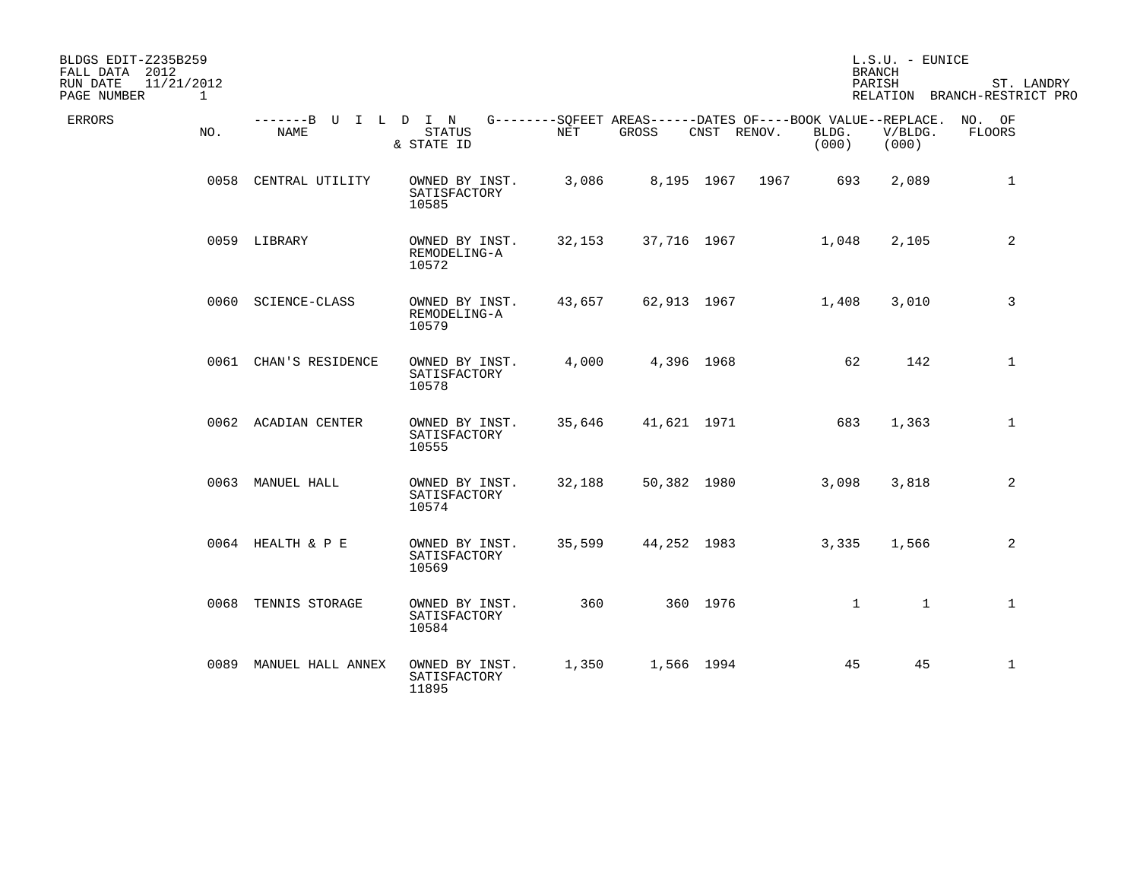| BLDGS EDIT-Z235B259<br>FALL DATA 2012      |                              |                                         |            |             |             |                                                                                      | L.S.U. - EUNICE<br><b>BRANCH</b> |                                            |
|--------------------------------------------|------------------------------|-----------------------------------------|------------|-------------|-------------|--------------------------------------------------------------------------------------|----------------------------------|--------------------------------------------|
| 11/21/2012<br>RUN DATE<br>PAGE NUMBER<br>1 |                              |                                         |            |             |             |                                                                                      | PARISH                           | ST. LANDRY<br>RELATION BRANCH-RESTRICT PRO |
| ERRORS<br>NO.                              | -------B U I L D I N<br>NAME | <b>STATUS</b><br>& STATE ID             | <b>NET</b> | GROSS       | CNST RENOV. | G--------SOFEET AREAS------DATES OF----BOOK VALUE--REPLACE. NO. OF<br>BLDG.<br>(000) | V/BLDG.<br>(000)                 | FLOORS                                     |
|                                            | 0058 CENTRAL UTILITY         | OWNED BY INST.<br>SATISFACTORY<br>10585 | 3,086      |             | 8,195 1967  | 693<br>1967                                                                          | 2,089                            | 1                                          |
|                                            | 0059 LIBRARY                 | OWNED BY INST.<br>REMODELING-A<br>10572 | 32,153     | 37,716 1967 |             | 1,048                                                                                | 2,105                            | 2                                          |
|                                            | 0060 SCIENCE-CLASS           | OWNED BY INST.<br>REMODELING-A<br>10579 | 43,657     | 62,913 1967 |             | 1,408                                                                                | 3,010                            | 3                                          |
|                                            | 0061 CHAN'S RESIDENCE        | OWNED BY INST.<br>SATISFACTORY<br>10578 | 4,000      |             | 4,396 1968  | 62                                                                                   | 142                              | $\mathbf 1$                                |
|                                            | 0062 ACADIAN CENTER          | OWNED BY INST.<br>SATISFACTORY<br>10555 | 35,646     | 41,621 1971 |             | 683                                                                                  | 1,363                            | $\mathbf{1}$                               |
|                                            | 0063 MANUEL HALL             | OWNED BY INST.<br>SATISFACTORY<br>10574 | 32,188     | 50,382 1980 |             | 3,098                                                                                | 3,818                            | 2                                          |
|                                            | 0064 HEALTH & P E            | OWNED BY INST.<br>SATISFACTORY<br>10569 | 35,599     | 44,252 1983 |             | 3,335                                                                                | 1,566                            | 2                                          |
| 0068                                       | TENNIS STORAGE               | OWNED BY INST.<br>SATISFACTORY<br>10584 | 360        |             | 360 1976    | $\mathbf{1}$                                                                         | $\mathbf{1}$                     | $\mathbf{1}$                               |
|                                            | 0089 MANUEL HALL ANNEX       | OWNED BY INST.<br>SATISFACTORY<br>11895 | 1,350      |             | 1,566 1994  | 45                                                                                   | 45                               | $\mathbf{1}$                               |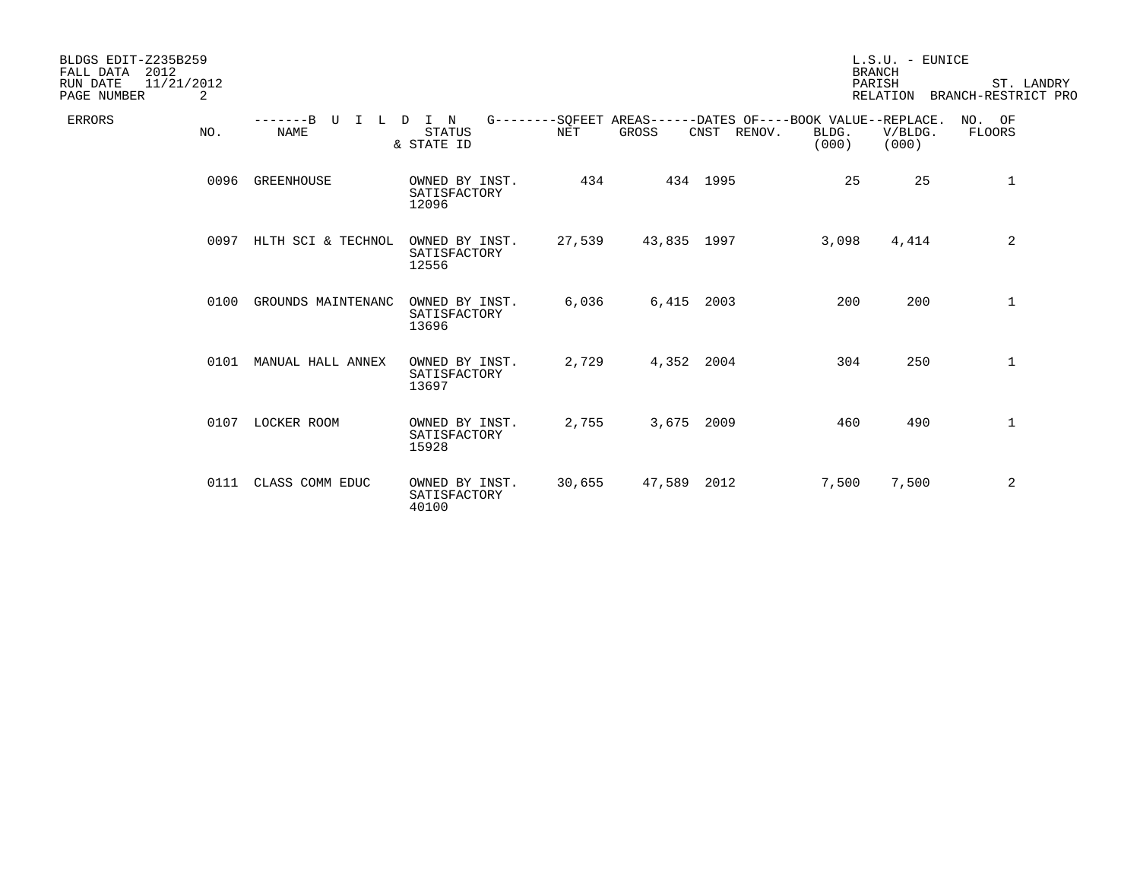| BLDGS EDIT-Z235B259<br>FALL DATA<br>2012<br>RUN DATE<br>11/21/2012<br>2<br>PAGE NUMBER |                           |                                         |            |             |                                                                            |                | $L.S.U.$ - EUNICE<br><b>BRANCH</b><br>PARISH<br>RELATION | ST. LANDRY<br>BRANCH-RESTRICT PRO |
|----------------------------------------------------------------------------------------|---------------------------|-----------------------------------------|------------|-------------|----------------------------------------------------------------------------|----------------|----------------------------------------------------------|-----------------------------------|
| <b>ERRORS</b><br>NO.                                                                   | -------B U<br><b>NAME</b> | ILDIN<br><b>STATUS</b><br>& STATE ID    | <b>NET</b> | GROSS       | G--------SQFEET AREAS------DATES OF----BOOK VALUE--REPLACE.<br>CNST RENOV. | BLDG.<br>(000) | V/BLDG.<br>(000)                                         | NO. OF<br>FLOORS                  |
| 0096                                                                                   | <b>GREENHOUSE</b>         | OWNED BY INST.<br>SATISFACTORY<br>12096 | 434        |             | 434 1995                                                                   | 25             | 25                                                       | 1                                 |
| 0097                                                                                   | HLTH SCI & TECHNOL        | OWNED BY INST.<br>SATISFACTORY<br>12556 | 27,539     | 43,835 1997 |                                                                            | 3,098          | 4,414                                                    | 2                                 |
| 0100                                                                                   | GROUNDS MAINTENANC        | OWNED BY INST.<br>SATISFACTORY<br>13696 | 6,036      | 6,415       | 2003                                                                       | 200            | 200                                                      | $\mathbf 1$                       |
| 0101                                                                                   | MANUAL HALL ANNEX         | OWNED BY INST.<br>SATISFACTORY<br>13697 | 2,729      | 4,352 2004  |                                                                            | 304            | 250                                                      | 1                                 |
| 0107                                                                                   | LOCKER ROOM               | OWNED BY INST.<br>SATISFACTORY<br>15928 | 2,755      | 3,675 2009  |                                                                            | 460            | 490                                                      | 1                                 |
|                                                                                        | 0111 CLASS COMM EDUC      | OWNED BY INST.<br>SATISFACTORY<br>40100 | 30,655     | 47,589      | 2012                                                                       | 7,500          | 7,500                                                    | 2                                 |